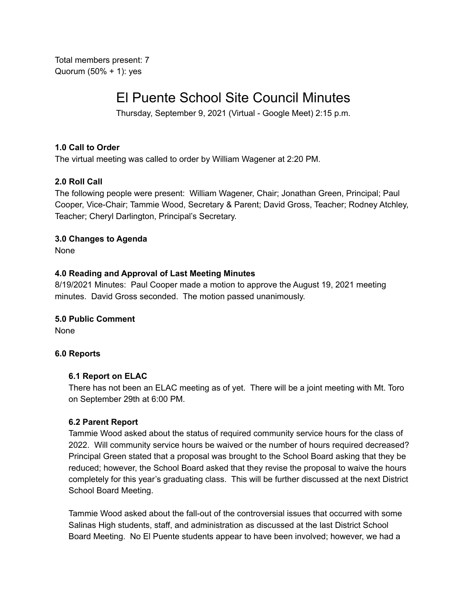Total members present: 7 Quorum (50% + 1): yes

# El Puente School Site Council Minutes

Thursday, September 9, 2021 (Virtual - Google Meet) 2:15 p.m.

# **1.0 Call to Order**

The virtual meeting was called to order by William Wagener at 2:20 PM.

# **2.0 Roll Call**

The following people were present: William Wagener, Chair; Jonathan Green, Principal; Paul Cooper, Vice-Chair; Tammie Wood, Secretary & Parent; David Gross, Teacher; Rodney Atchley, Teacher; Cheryl Darlington, Principal's Secretary.

# **3.0 Changes to Agenda**

None

# **4.0 Reading and Approval of Last Meeting Minutes**

8/19/2021 Minutes: Paul Cooper made a motion to approve the August 19, 2021 meeting minutes. David Gross seconded. The motion passed unanimously.

## **5.0 Public Comment**

None

## **6.0 Reports**

## **6.1 Report on ELAC**

There has not been an ELAC meeting as of yet. There will be a joint meeting with Mt. Toro on September 29th at 6:00 PM.

## **6.2 Parent Report**

Tammie Wood asked about the status of required community service hours for the class of 2022. Will community service hours be waived or the number of hours required decreased? Principal Green stated that a proposal was brought to the School Board asking that they be reduced; however, the School Board asked that they revise the proposal to waive the hours completely for this year's graduating class. This will be further discussed at the next District School Board Meeting.

Tammie Wood asked about the fall-out of the controversial issues that occurred with some Salinas High students, staff, and administration as discussed at the last District School Board Meeting. No El Puente students appear to have been involved; however, we had a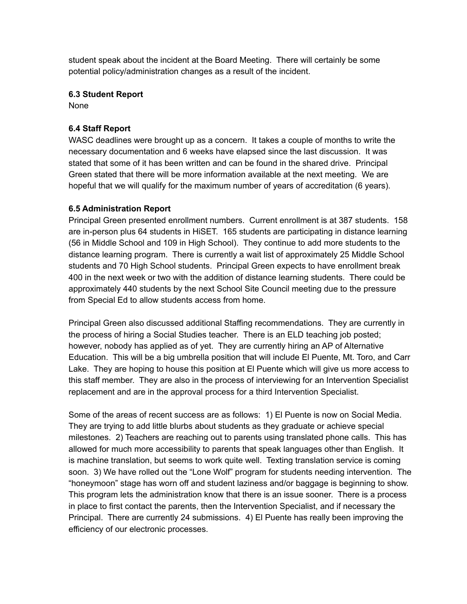student speak about the incident at the Board Meeting. There will certainly be some potential policy/administration changes as a result of the incident.

# **6.3 Student Report**

None

# **6.4 Staff Report**

WASC deadlines were brought up as a concern. It takes a couple of months to write the necessary documentation and 6 weeks have elapsed since the last discussion. It was stated that some of it has been written and can be found in the shared drive. Principal Green stated that there will be more information available at the next meeting. We are hopeful that we will qualify for the maximum number of years of accreditation (6 years).

# **6.5 Administration Report**

Principal Green presented enrollment numbers. Current enrollment is at 387 students. 158 are in-person plus 64 students in HiSET. 165 students are participating in distance learning (56 in Middle School and 109 in High School). They continue to add more students to the distance learning program. There is currently a wait list of approximately 25 Middle School students and 70 High School students. Principal Green expects to have enrollment break 400 in the next week or two with the addition of distance learning students. There could be approximately 440 students by the next School Site Council meeting due to the pressure from Special Ed to allow students access from home.

Principal Green also discussed additional Staffing recommendations. They are currently in the process of hiring a Social Studies teacher. There is an ELD teaching job posted; however, nobody has applied as of yet. They are currently hiring an AP of Alternative Education. This will be a big umbrella position that will include El Puente, Mt. Toro, and Carr Lake. They are hoping to house this position at El Puente which will give us more access to this staff member. They are also in the process of interviewing for an Intervention Specialist replacement and are in the approval process for a third Intervention Specialist.

Some of the areas of recent success are as follows: 1) El Puente is now on Social Media. They are trying to add little blurbs about students as they graduate or achieve special milestones. 2) Teachers are reaching out to parents using translated phone calls. This has allowed for much more accessibility to parents that speak languages other than English. It is machine translation, but seems to work quite well. Texting translation service is coming soon. 3) We have rolled out the "Lone Wolf" program for students needing intervention. The "honeymoon" stage has worn off and student laziness and/or baggage is beginning to show. This program lets the administration know that there is an issue sooner. There is a process in place to first contact the parents, then the Intervention Specialist, and if necessary the Principal. There are currently 24 submissions. 4) El Puente has really been improving the efficiency of our electronic processes.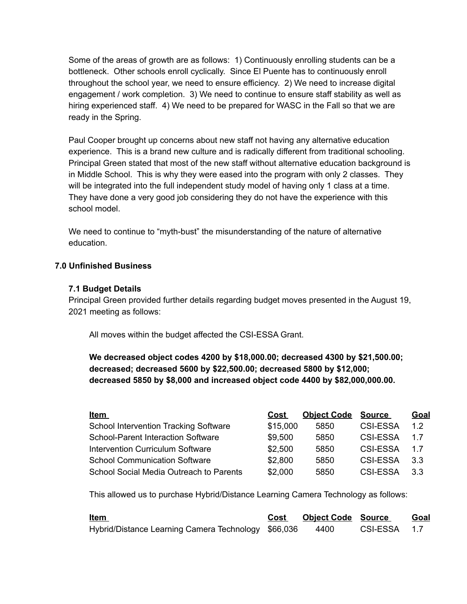Some of the areas of growth are as follows: 1) Continuously enrolling students can be a bottleneck. Other schools enroll cyclically. Since El Puente has to continuously enroll throughout the school year, we need to ensure efficiency. 2) We need to increase digital engagement / work completion. 3) We need to continue to ensure staff stability as well as hiring experienced staff. 4) We need to be prepared for WASC in the Fall so that we are ready in the Spring.

Paul Cooper brought up concerns about new staff not having any alternative education experience. This is a brand new culture and is radically different from traditional schooling. Principal Green stated that most of the new staff without alternative education background is in Middle School. This is why they were eased into the program with only 2 classes. They will be integrated into the full independent study model of having only 1 class at a time. They have done a very good job considering they do not have the experience with this school model.

We need to continue to "myth-bust" the misunderstanding of the nature of alternative education.

# **7.0 Unfinished Business**

## **7.1 Budget Details**

Principal Green provided further details regarding budget moves presented in the August 19, 2021 meeting as follows:

All moves within the budget affected the CSI-ESSA Grant.

**We decreased object codes 4200 by \$18,000.00; decreased 4300 by \$21,500.00; decreased; decreased 5600 by \$22,500.00; decreased 5800 by \$12,000; decreased 5850 by \$8,000 and increased object code 4400 by \$82,000,000.00.**

| <u>Item</u>                                  | Cost     | <b>Object Code</b> | <u>Source</u>   | <b>Goal</b> |
|----------------------------------------------|----------|--------------------|-----------------|-------------|
| <b>School Intervention Tracking Software</b> | \$15,000 | 5850               | <b>CSI-ESSA</b> | 1.2         |
| <b>School-Parent Interaction Software</b>    | \$9,500  | 5850               | CSI-ESSA        | 1.7         |
| Intervention Curriculum Software             | \$2,500  | 5850               | CSI-ESSA        | 1.7         |
| <b>School Communication Software</b>         | \$2,800  | 5850               | CSI-ESSA        | 3.3         |
| School Social Media Outreach to Parents      | \$2,000  | 5850               | <b>CSI-ESSA</b> | 3.3         |

This allowed us to purchase Hybrid/Distance Learning Camera Technology as follows:

| <u>Item</u>                                         | Cost | <b>Object Code Source</b> |              | Goal |
|-----------------------------------------------------|------|---------------------------|--------------|------|
| Hybrid/Distance Learning Camera Technology \$66,036 |      | 4400                      | CSI-ESSA 1.7 |      |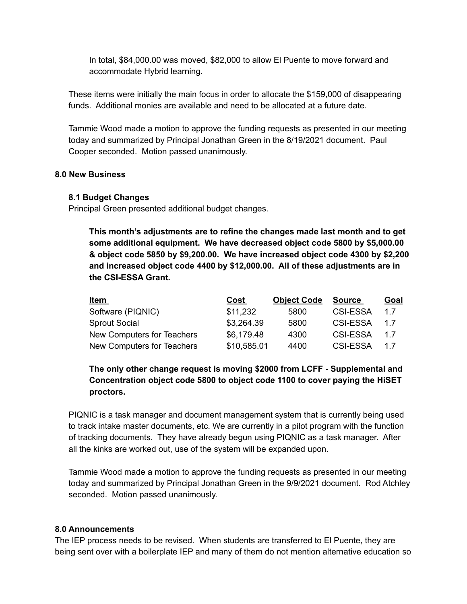In total, \$84,000.00 was moved, \$82,000 to allow El Puente to move forward and accommodate Hybrid learning.

These items were initially the main focus in order to allocate the \$159,000 of disappearing funds. Additional monies are available and need to be allocated at a future date.

Tammie Wood made a motion to approve the funding requests as presented in our meeting today and summarized by Principal Jonathan Green in the 8/19/2021 document. Paul Cooper seconded. Motion passed unanimously.

#### **8.0 New Business**

#### **8.1 Budget Changes**

Principal Green presented additional budget changes.

**This month's adjustments are to refine the changes made last month and to get some additional equipment. We have decreased object code 5800 by \$5,000.00 & object code 5850 by \$9,200.00. We have increased object code 4300 by \$2,200 and increased object code 4400 by \$12,000.00. All of these adjustments are in the CSI-ESSA Grant.**

| <u>Item</u>                | <u>Cost</u> | <b>Object Code</b> | <b>Source</b>   | <u>Goal</u> |
|----------------------------|-------------|--------------------|-----------------|-------------|
| Software (PIQNIC)          | \$11,232    | 5800               | <b>CSI-ESSA</b> | 17          |
| <b>Sprout Social</b>       | \$3,264.39  | 5800               | <b>CSI-ESSA</b> | 17          |
| New Computers for Teachers | \$6,179.48  | 4300               | <b>CSI-ESSA</b> | 17          |
| New Computers for Teachers | \$10,585.01 | 4400               | <b>CSI-ESSA</b> | 17          |

# **The only other change request is moving \$2000 from LCFF - Supplemental and Concentration object code 5800 to object code 1100 to cover paying the HiSET proctors.**

PIQNIC is a task manager and document management system that is currently being used to track intake master documents, etc. We are currently in a pilot program with the function of tracking documents. They have already begun using PIQNIC as a task manager. After all the kinks are worked out, use of the system will be expanded upon.

Tammie Wood made a motion to approve the funding requests as presented in our meeting today and summarized by Principal Jonathan Green in the 9/9/2021 document. Rod Atchley seconded. Motion passed unanimously.

## **8.0 Announcements**

The IEP process needs to be revised. When students are transferred to El Puente, they are being sent over with a boilerplate IEP and many of them do not mention alternative education so